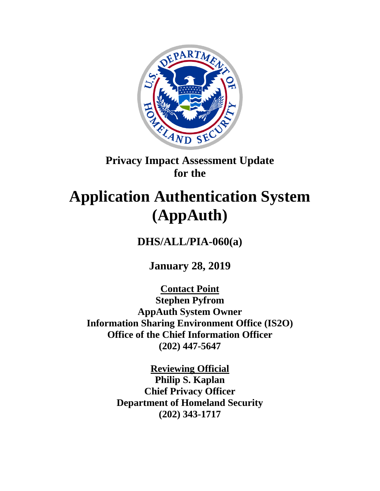

## **Privacy Impact Assessment Update for the**

# **Application Authentication System (AppAuth)**

**DHS/ALL/PIA-060(a)**

**January 28, 2019**

**Contact Point Stephen Pyfrom AppAuth System Owner Information Sharing Environment Office (IS2O) Office of the Chief Information Officer (202) 447-5647**

> **Reviewing Official Philip S. Kaplan Chief Privacy Officer Department of Homeland Security (202) 343-1717**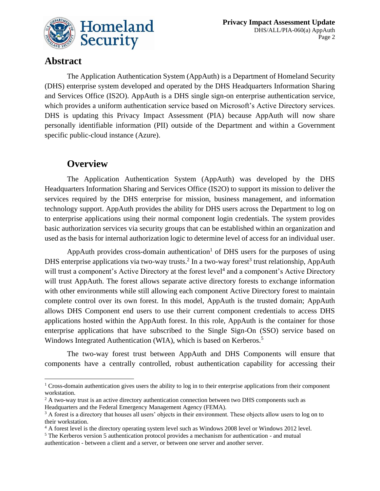

### **Abstract**

 $\overline{a}$ 

The Application Authentication System (AppAuth) is a Department of Homeland Security (DHS) enterprise system developed and operated by the DHS Headquarters Information Sharing and Services Office (IS2O). AppAuth is a DHS single sign-on enterprise authentication service, which provides a uniform authentication service based on Microsoft's Active Directory services. DHS is updating this Privacy Impact Assessment (PIA) because AppAuth will now share personally identifiable information (PII) outside of the Department and within a Government specific public-cloud instance (Azure).

### **Overview**

The Application Authentication System (AppAuth) was developed by the DHS Headquarters Information Sharing and Services Office (IS2O) to support its mission to deliver the services required by the DHS enterprise for mission, business management, and information technology support. AppAuth provides the ability for DHS users across the Department to log on to enterprise applications using their normal component login credentials. The system provides basic authorization services via security groups that can be established within an organization and used as the basis for internal authorization logic to determine level of access for an individual user.

AppAuth provides cross-domain authentication<sup>1</sup> of DHS users for the purposes of using DHS enterprise applications via two-way trusts.<sup>2</sup> In a two-way forest<sup>3</sup> trust relationship, AppAuth will trust a component's Active Directory at the forest level<sup>4</sup> and a component's Active Directory will trust AppAuth. The forest allows separate active directory forests to exchange information with other environments while still allowing each component Active Directory forest to maintain complete control over its own forest. In this model, AppAuth is the trusted domain; AppAuth allows DHS Component end users to use their current component credentials to access DHS applications hosted within the AppAuth forest. In this role, AppAuth is the container for those enterprise applications that have subscribed to the Single Sign-On (SSO) service based on Windows Integrated Authentication (WIA), which is based on Kerberos.<sup>5</sup>

The two-way forest trust between AppAuth and DHS Components will ensure that components have a centrally controlled, robust authentication capability for accessing their

 $1$  Cross-domain authentication gives users the ability to log in to their enterprise applications from their component workstation.

<sup>&</sup>lt;sup>2</sup> A two-way trust is an active directory authentication connection between two DHS components such as Headquarters and the Federal Emergency Management Agency (FEMA).

<sup>&</sup>lt;sup>3</sup> A forest is a directory that houses all users' objects in their environment. These objects allow users to log on to their workstation.

<sup>&</sup>lt;sup>4</sup> A forest level is the directory operating system level such as Windows 2008 level or Windows 2012 level.

<sup>5</sup> The Kerberos version 5 authentication protocol provides a mechanism for authentication - and mutual authentication - between a client and a server, or between one server and another server.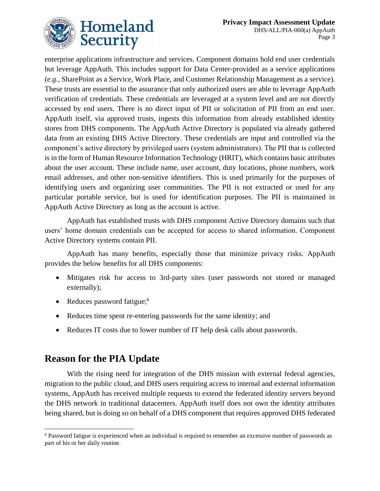

enterprise applications infrastructure and services. Component domains hold end user credentials but leverage AppAuth. This includes support for Data Center-provided as a service applications (*e.g.*, SharePoint as a Service, Work Place, and Customer Relationship Management as a service). These trusts are essential to the assurance that only authorized users are able to leverage AppAuth verification of credentials. These credentials are leveraged at a system level and are not directly accessed by end users. There is no direct input of PII or solicitation of PII from an end user. AppAuth itself, via approved trusts, ingests this information from already established identity stores from DHS components. The AppAuth Active Directory is populated via already gathered data from an existing DHS Active Directory. These credentials are input and controlled via the component's active directory by privileged users (system administrators). The PII that is collected is in the form of Human Resource Information Technology (HRIT), which contains basic attributes about the user account. These include name, user account, duty locations, phone numbers, work email addresses, and other non-sensitive identifiers. This is used primarily for the purposes of identifying users and organizing user communities. The PII is not extracted or used for any particular portable service, but is used for identification purposes. The PII is maintained in AppAuth Active Directory as long as the account is active.

AppAuth has established trusts with DHS component Active Directory domains such that users' home domain credentials can be accepted for access to shared information. Component Active Directory systems contain PII.

AppAuth has many benefits, especially those that minimize privacy risks. AppAuth provides the below benefits for all DHS components:

- Mitigates risk for access to 3rd-party sites (user passwords not stored or managed externally);
- Reduces password fatigue; $<sup>6</sup>$ </sup>
- Reduces time spent re-entering passwords for the same identity; and
- Reduces IT costs due to lower number of IT help desk calls about passwords.

### **Reason for the PIA Update**

 $\overline{a}$ 

With the rising need for integration of the DHS mission with external federal agencies, migration to the public cloud, and DHS users requiring access to internal and external information systems, AppAuth has received multiple requests to extend the federated identity servers beyond the DHS network in traditional datacenters. AppAuth itself does not own the identity attributes being shared, but is doing so on behalf of a DHS component that requires approved DHS federated

<sup>6</sup> Password fatigue is experienced when an individual is required to remember an excessive number of passwords as part of his or her daily routine.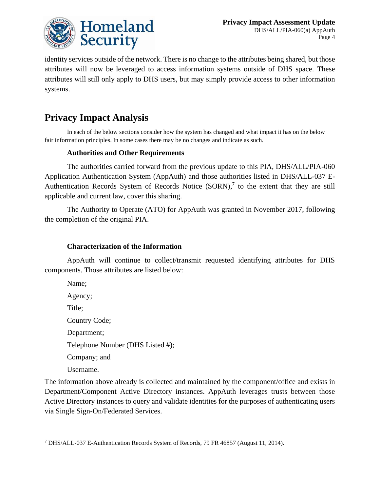

identity services outside of the network. There is no change to the attributes being shared, but those attributes will now be leveraged to access information systems outside of DHS space. These attributes will still only apply to DHS users, but may simply provide access to other information systems.

### **Privacy Impact Analysis**

In each of the below sections consider how the system has changed and what impact it has on the below fair information principles. In some cases there may be no changes and indicate as such.

#### **Authorities and Other Requirements**

The authorities carried forward from the previous update to this PIA, DHS/ALL/PIA-060 Application Authentication System (AppAuth) and those authorities listed in DHS/ALL-037 E-Authentication Records System of Records Notice  $(SORN)$ , to the extent that they are still applicable and current law, cover this sharing.

The Authority to Operate (ATO) for AppAuth was granted in November 2017, following the completion of the original PIA.

#### **Characterization of the Information**

AppAuth will continue to collect/transmit requested identifying attributes for DHS components. Those attributes are listed below:

Name; Agency; Title; Country Code; Department; Telephone Number (DHS Listed #); Company; and Username.

The information above already is collected and maintained by the component/office and exists in Department/Component Active Directory instances. AppAuth leverages trusts between those Active Directory instances to query and validate identities for the purposes of authenticating users via Single Sign-On/Federated Services.

 $\overline{a}$ <sup>7</sup> DHS/ALL-037 E-Authentication Records System of Records, 79 FR 46857 (August 11, 2014).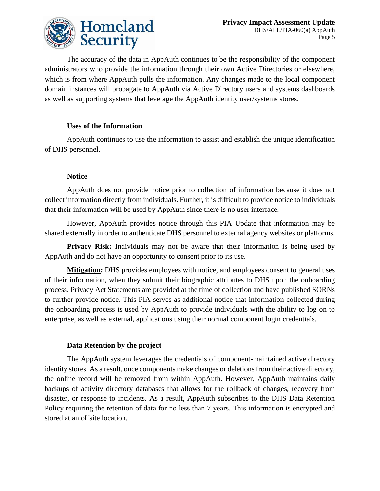

The accuracy of the data in AppAuth continues to be the responsibility of the component administrators who provide the information through their own Active Directories or elsewhere, which is from where AppAuth pulls the information. Any changes made to the local component domain instances will propagate to AppAuth via Active Directory users and systems dashboards as well as supporting systems that leverage the AppAuth identity user/systems stores.

#### **Uses of the Information**

AppAuth continues to use the information to assist and establish the unique identification of DHS personnel.

#### **Notice**

AppAuth does not provide notice prior to collection of information because it does not collect information directly from individuals. Further, it is difficult to provide notice to individuals that their information will be used by AppAuth since there is no user interface.

However, AppAuth provides notice through this PIA Update that information may be shared externally in order to authenticate DHS personnel to external agency websites or platforms.

**Privacy Risk:** Individuals may not be aware that their information is being used by AppAuth and do not have an opportunity to consent prior to its use.

**Mitigation:** DHS provides employees with notice, and employees consent to general uses of their information, when they submit their biographic attributes to DHS upon the onboarding process. Privacy Act Statements are provided at the time of collection and have published SORNs to further provide notice. This PIA serves as additional notice that information collected during the onboarding process is used by AppAuth to provide individuals with the ability to log on to enterprise, as well as external, applications using their normal component login credentials.

#### **Data Retention by the project**

The AppAuth system leverages the credentials of component-maintained active directory identity stores. As a result, once components make changes or deletions from their active directory, the online record will be removed from within AppAuth. However, AppAuth maintains daily backups of activity directory databases that allows for the rollback of changes, recovery from disaster, or response to incidents. As a result, AppAuth subscribes to the DHS Data Retention Policy requiring the retention of data for no less than 7 years. This information is encrypted and stored at an offsite location.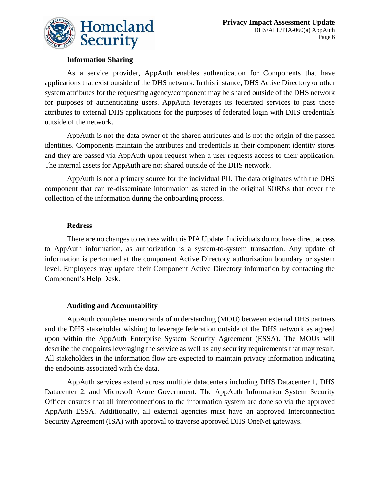

#### **Information Sharing**

As a service provider, AppAuth enables authentication for Components that have applications that exist outside of the DHS network. In this instance, DHS Active Directory or other system attributes for the requesting agency/component may be shared outside of the DHS network for purposes of authenticating users. AppAuth leverages its federated services to pass those attributes to external DHS applications for the purposes of federated login with DHS credentials outside of the network.

AppAuth is not the data owner of the shared attributes and is not the origin of the passed identities. Components maintain the attributes and credentials in their component identity stores and they are passed via AppAuth upon request when a user requests access to their application. The internal assets for AppAuth are not shared outside of the DHS network.

AppAuth is not a primary source for the individual PII. The data originates with the DHS component that can re-disseminate information as stated in the original SORNs that cover the collection of the information during the onboarding process.

#### **Redress**

There are no changes to redress with this PIA Update. Individuals do not have direct access to AppAuth information, as authorization is a system-to-system transaction. Any update of information is performed at the component Active Directory authorization boundary or system level. Employees may update their Component Active Directory information by contacting the Component's Help Desk.

#### **Auditing and Accountability**

AppAuth completes memoranda of understanding (MOU) between external DHS partners and the DHS stakeholder wishing to leverage federation outside of the DHS network as agreed upon within the AppAuth Enterprise System Security Agreement (ESSA). The MOUs will describe the endpoints leveraging the service as well as any security requirements that may result. All stakeholders in the information flow are expected to maintain privacy information indicating the endpoints associated with the data.

AppAuth services extend across multiple datacenters including DHS Datacenter 1, DHS Datacenter 2, and Microsoft Azure Government. The AppAuth Information System Security Officer ensures that all interconnections to the information system are done so via the approved AppAuth ESSA. Additionally, all external agencies must have an approved Interconnection Security Agreement (ISA) with approval to traverse approved DHS OneNet gateways.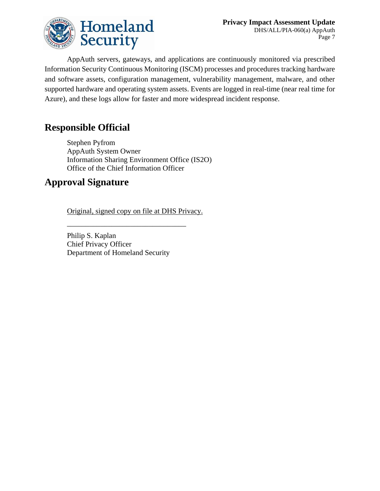

AppAuth servers, gateways, and applications are continuously monitored via prescribed Information Security Continuous Monitoring (ISCM) processes and procedures tracking hardware and software assets, configuration management, vulnerability management, malware, and other supported hardware and operating system assets. Events are logged in real-time (near real time for Azure), and these logs allow for faster and more widespread incident response.

### **Responsible Official**

Stephen Pyfrom AppAuth System Owner Information Sharing Environment Office (IS2O) Office of the Chief Information Officer

### **Approval Signature**

Original, signed copy on file at DHS Privacy.

\_\_\_\_\_\_\_\_\_\_\_\_\_\_\_\_\_\_\_\_\_\_\_\_\_\_\_\_\_\_\_\_

Philip S. Kaplan Chief Privacy Officer Department of Homeland Security